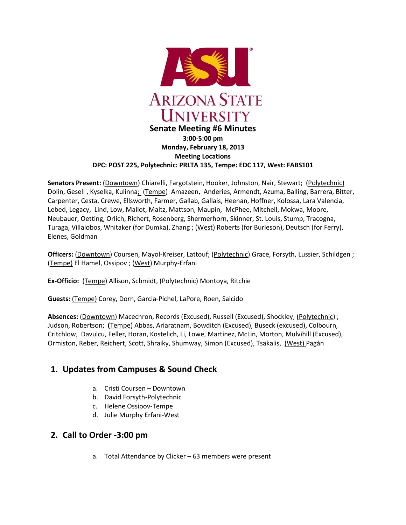

#### **Monday, February 18, 2013 Meeting Locations DPC: POST 225, Polytechnic: PRLTA 135, Tempe: EDC 117, West: FABS101**

**Senators Present:** (Downtown) Chiarelli, Fargotstein, Hooker, Johnston, Nair, Stewart; (Polytechnic) Dolin, Gesell , Kyselka, Kulinna; (Tempe) Amazeen, Anderies, Armendt, Azuma, Balling, Barrera, Bitter, Carpenter, Cesta, Crewe, Ellsworth, Farmer, Gallab, Gallais, Heenan, Hoffner, Kolossa, Lara Valencia, Lebed, Legacy, Lind, Low, Mallot, Maltz, Mattson, Maupin, McPhee, Mitchell, Mokwa, Moore, Neubauer, Oetting, Orlich, Richert, Rosenberg, Shermerhorn, Skinner, St. Louis, Stump, Tracogna, Turaga, Villalobos, Whitaker (for Dumka), Zhang ; (West) Roberts (for Burleson), Deutsch (for Ferry), Elenes, Goldman

**Officers:** (Downtown) Coursen, Mayol-Kreiser, Lattouf; (Polytechnic) Grace, Forsyth, Lussier, Schildgen; (Tempe) El Hamel, Ossipov ; (West) Murphy-Erfani

**Ex-Officio:** (Tempe) Allison, Schmidt, (Polytechnic) Montoya, Ritchie

**Guests:** (Tempe) Corey, Dorn, Garcia-Pichel, LaPore, Roen, Salcido

**Absences:** (Downtown) Macechron, Records (Excused), Russell (Excused), Shockley; (Polytechnic) ; Judson, Robertson; **(**Tempe) Abbas, Ariaratnam, Bowditch (Excused), Buseck (excused), Colbourn, Critchlow, Davulcu, Feller, Horan, Kostelich, Li, Lowe, Martinez, McLin, Morton, Mulvihill (Excused), Ormiston, Reber, Reichert, Scott, Shraiky, Shumway, Simon (Excused), Tsakalis, (West) Pagán

## **1. Updates from Campuses & Sound Check**

- a. Cristi Coursen Downtown
- b. David Forsyth-Polytechnic
- c. Helene Ossipov-Tempe
- d. Julie Murphy Erfani-West

### **2. Call to Order -3:00 pm**

a. Total Attendance by Clicker – 63 members were present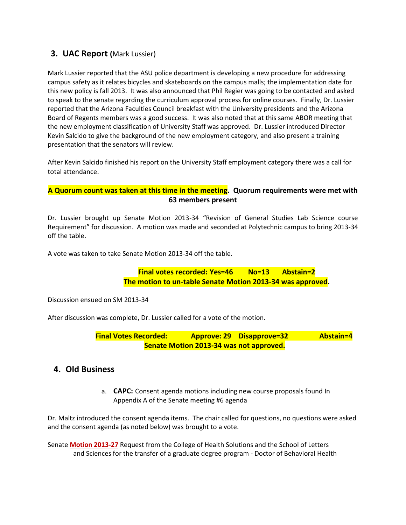## **3. UAC Report (**Mark Lussier)

Mark Lussier reported that the ASU police department is developing a new procedure for addressing campus safety as it relates bicycles and skateboards on the campus malls; the implementation date for this new policy is fall 2013. It was also announced that Phil Regier was going to be contacted and asked to speak to the senate regarding the curriculum approval process for online courses. Finally, Dr. Lussier reported that the Arizona Faculties Council breakfast with the University presidents and the Arizona Board of Regents members was a good success. It was also noted that at this same ABOR meeting that the new employment classification of University Staff was approved. Dr. Lussier introduced Director Kevin Salcido to give the background of the new employment category, and also present a training presentation that the senators will review.

After Kevin Salcido finished his report on the University Staff employment category there was a call for total attendance.

#### **A Quorum count was taken at this time in the meeting. Quorum requirements were met with 63 members present**

Dr. Lussier brought up Senate Motion 2013-34 "Revision of General Studies Lab Science course Requirement" for discussion. A motion was made and seconded at Polytechnic campus to bring 2013-34 off the table.

A vote was taken to take Senate Motion 2013-34 off the table.

**Final votes recorded: Yes=46 No=13 Abstain=2 The motion to un-table Senate Motion 2013-34 was approved.**

Discussion ensued on SM 2013-34

After discussion was complete, Dr. Lussier called for a vote of the motion.

**Final Votes Recorded: Approve: 29 Disapprove=32 Abstain=4 Senate Motion 2013-34 was not approved.**

### **4. Old Business**

a. **CAPC:** Consent agenda motions including new course proposals found In Appendix A of the Senate meeting #6 agenda

Dr. Maltz introduced the consent agenda items. The chair called for questions, no questions were asked and the consent agenda (as noted below) was brought to a vote.

Senate **[Motion 2013-27](http://usenate.asu.edu/node/4478)** Request from the College of Health Solutions and the School of Letters and Sciences for the transfer of a graduate degree program - Doctor of Behavioral Health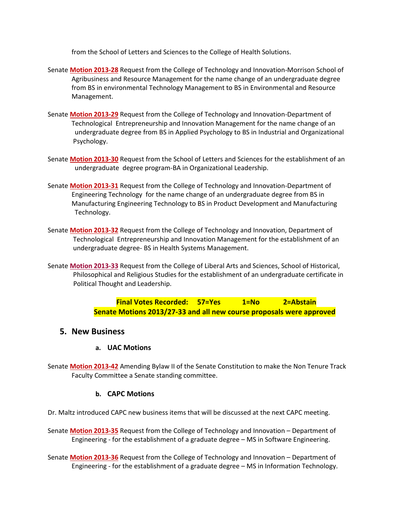from the School of Letters and Sciences to the College of Health Solutions.

- Senate **[Motion 2013-28](http://usenate.asu.edu/node/4479)** Request from the College of Technology and Innovation-Morrison School of Agribusiness and Resource Management for the name change of an undergraduate degree from BS in environmental Technology Management to BS in Environmental and Resource Management.
- Senate **[Motion 2013-29](http://usenate.asu.edu/node/4480)** Request from the College of Technology and Innovation-Department of Technological Entrepreneurship and Innovation Management for the name change of an undergraduate degree from BS in Applied Psychology to BS in Industrial and Organizational Psychology.
- Senate **[Motion 2013-30](http://usenate.asu.edu/node/4481)** Request from the School of Letters and Sciences for the establishment of an undergraduate degree program-BA in Organizational Leadership.
- Senate **[Motion 2013-31](http://usenate.asu.edu/node/4482)** Request from the College of Technology and Innovation-Department of Engineering Technology for the name change of an undergraduate degree from BS in Manufacturing Engineering Technology to BS in Product Development and Manufacturing Technology.
- Senate **[Motion 2013-32](http://usenate.asu.edu/node/4483)** Request from the College of Technology and Innovation, Department of Technological Entrepreneurship and Innovation Management for the establishment of an undergraduate degree- BS in Health Systems Management.
- Senate **[Motion 2013-33](http://usenate.asu.edu/node/4486)** Request from the College of Liberal Arts and Sciences, School of Historical, Philosophical and Religious Studies for the establishment of an undergraduate certificate in Political Thought and Leadership.

**Final Votes Recorded: 57=Yes 1=No 2=Abstain Senate Motions 2013/27-33 and all new course proposals were approved**

#### **5. New Business**

### **a. UAC Motions**

Senate **[Motion 2013-42](http://usenate.asu.edu/node/4502)** Amending Bylaw II of the Senate Constitution to make the Non Tenure Track Faculty Committee a Senate standing committee.

#### **b. CAPC Motions**

Dr. Maltz introduced CAPC new business items that will be discussed at the next CAPC meeting.

Senate **[Motion 2013-35](http://usenate.asu.edu/node/4491)** Request from the College of Technology and Innovation – Department of Engineering - for the establishment of a graduate degree – MS in Software Engineering.

Senate **[Motion 2013-36](http://usenate.asu.edu/node/4492)** Request from the College of Technology and Innovation – Department of Engineering - for the establishment of a graduate degree – MS in Information Technology.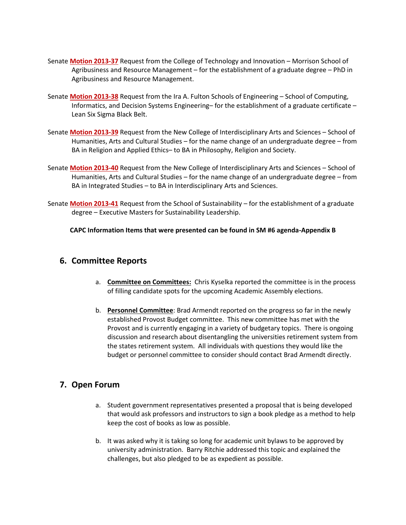- Senate **[Motion 2013-37](http://usenate.asu.edu/node/4493)** Request from the College of Technology and Innovation Morrison School of Agribusiness and Resource Management – for the establishment of a graduate degree – PhD in Agribusiness and Resource Management.
- Senate **[Motion 2013-38](http://usenate.asu.edu/node/4494)** Request from the Ira A. Fulton Schools of Engineering School of Computing, Informatics, and Decision Systems Engineering– for the establishment of a graduate certificate – Lean Six Sigma Black Belt.
- Senate **[Motion 2013-39](http://usenate.asu.edu/node/4495)** Request from the New College of Interdisciplinary Arts and Sciences School of Humanities, Arts and Cultural Studies – for the name change of an undergraduate degree – from BA in Religion and Applied Ethics– to BA in Philosophy, Religion and Society.
- Senate **[Motion 2013-40](http://usenate.asu.edu/node/4496)** Request from the New College of Interdisciplinary Arts and Sciences School of Humanities, Arts and Cultural Studies – for the name change of an undergraduate degree – from BA in Integrated Studies – to BA in Interdisciplinary Arts and Sciences.
- Senate **[Motion 2013-41](http://usenate.asu.edu/node/4497)** Request from the School of Sustainability for the establishment of a graduate degree – Executive Masters for Sustainability Leadership.

**CAPC Information Items that were presented can be found in SM #6 agenda-Appendix B**

#### **6. Committee Reports**

- a. **Committee on Committees:** Chris Kyselka reported the committee is in the process of filling candidate spots for the upcoming Academic Assembly elections.
- b. **Personnel Committee**: Brad Armendt reported on the progress so far in the newly established Provost Budget committee. This new committee has met with the Provost and is currently engaging in a variety of budgetary topics. There is ongoing discussion and research about disentangling the universities retirement system from the states retirement system. All individuals with questions they would like the budget or personnel committee to consider should contact Brad Armendt directly.

### **7. Open Forum**

- a. Student government representatives presented a proposal that is being developed that would ask professors and instructors to sign a book pledge as a method to help keep the cost of books as low as possible.
- b. It was asked why it is taking so long for academic unit bylaws to be approved by university administration. Barry Ritchie addressed this topic and explained the challenges, but also pledged to be as expedient as possible.